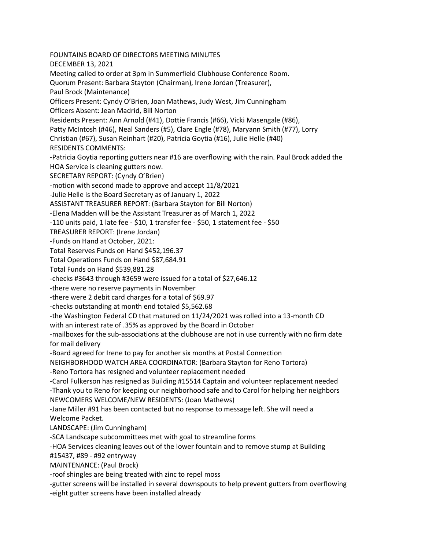FOUNTAINS BOARD OF DIRECTORS MEETING MINUTES DECEMBER 13, 2021 Meeting called to order at 3pm in Summerfield Clubhouse Conference Room. Quorum Present: Barbara Stayton (Chairman), Irene Jordan (Treasurer), Paul Brock (Maintenance) Officers Present: Cyndy O'Brien, Joan Mathews, Judy West, Jim Cunningham Officers Absent: Jean Madrid, Bill Norton Residents Present: Ann Arnold (#41), Dottie Francis (#66), Vicki Masengale (#86), Patty McIntosh (#46), Neal Sanders (#5), Clare Engle (#78), Maryann Smith (#77), Lorry Christian (#67), Susan Reinhart (#20), Patricia Goytia (#16), Julie Helle (#40) RESIDENTS COMMENTS: -Patricia Goytia reporting gutters near #16 are overflowing with the rain. Paul Brock added the HOA Service is cleaning gutters now. SECRETARY REPORT: (Cyndy O'Brien) -motion with second made to approve and accept 11/8/2021 -Julie Helle is the Board Secretary as of January 1, 2022 ASSISTANT TREASURER REPORT: (Barbara Stayton for Bill Norton) -Elena Madden will be the Assistant Treasurer as of March 1, 2022 -110 units paid, 1 late fee - \$10, 1 transfer fee - \$50, 1 statement fee - \$50 TREASURER REPORT: (Irene Jordan) -Funds on Hand at October, 2021: Total Reserves Funds on Hand \$452,196.37 Total Operations Funds on Hand \$87,684.91 Total Funds on Hand \$539,881.28 -checks #3643 through #3659 were issued for a total of \$27,646.12 -there were no reserve payments in November -there were 2 debit card charges for a total of \$69.97 -checks outstanding at month end totaled \$5,562.68 -the Washington Federal CD that matured on 11/24/2021 was rolled into a 13-month CD with an interest rate of .35% as approved by the Board in October -mailboxes for the sub-associations at the clubhouse are not in use currently with no firm date for mail delivery -Board agreed for Irene to pay for another six months at Postal Connection NEIGHBORHOOD WATCH AREA COORDINATOR: (Barbara Stayton for Reno Tortora) -Reno Tortora has resigned and volunteer replacement needed -Carol Fulkerson has resigned as Building #15514 Captain and volunteer replacement needed -Thank you to Reno for keeping our neighborhood safe and to Carol for helping her neighbors NEWCOMERS WELCOME/NEW RESIDENTS: (Joan Mathews) -Jane Miller #91 has been contacted but no response to message left. She will need a Welcome Packet. LANDSCAPE: (Jim Cunningham) -SCA Landscape subcommittees met with goal to streamline forms -HOA Services cleaning leaves out of the lower fountain and to remove stump at Building #15437, #89 - #92 entryway MAINTENANCE: (Paul Brock) -roof shingles are being treated with zinc to repel moss -gutter screens will be installed in several downspouts to help prevent gutters from overflowing -eight gutter screens have been installed already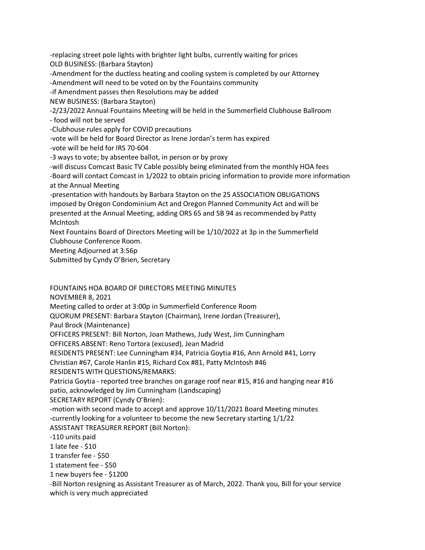-replacing street pole lights with brighter light bulbs, currently waiting for prices OLD BUSINESS: (Barbara Stayton)

-Amendment for the ductless heating and cooling system is completed by our Attorney

-Amendment will need to be voted on by the Fountains community

-if Amendment passes then Resolutions may be added

NEW BUSINESS: (Barbara Stayton)

-2/23/2022 Annual Fountains Meeting will be held in the Summerfield Clubhouse Ballroom

- food will not be served

-Clubhouse rules apply for COVID precautions

-vote will be held for Board Director as Irene Jordan's term has expired

-vote will be held for IRS 70-604

-3 ways to vote; by absentee ballot, in person or by proxy

-will discuss Comcast Basic TV Cable possibly being eliminated from the monthly HOA fees

-Board will contact Comcast in 1/2022 to obtain pricing information to provide more information at the Annual Meeting

-presentation with handouts by Barbara Stayton on the 25 ASSOCIATION OBLIGATIONS imposed by Oregon Condominium Act and Oregon Planned Community Act and will be presented at the Annual Meeting, adding ORS 65 and SB 94 as recommended by Patty McIntosh

Next Fountains Board of Directors Meeting will be 1/10/2022 at 3p in the Summerfield Clubhouse Conference Room.

Meeting Adjourned at 3:56p

Submitted by Cyndy O'Brien, Secretary

FOUNTAINS HOA BOARD OF DIRECTORS MEETING MINUTES

NOVEMBER 8, 2021

Meeting called to order at 3:00p in Summerfield Conference Room

QUORUM PRESENT: Barbara Stayton (Chairman), Irene Jordan (Treasurer),

Paul Brock (Maintenance)

OFFICERS PRESENT: Bill Norton, Joan Mathews, Judy West, Jim Cunningham

OFFICERS ABSENT: Reno Tortora (excused), Jean Madrid

RESIDENTS PRESENT: Lee Cunningham #34, Patricia Goytia #16, Ann Arnold #41, Lorry

Christian #67, Carole Hanlin #15, Richard Cox #81, Patty McIntosh #46

RESIDENTS WITH QUESTIONS/REMARKS:

Patricia Goytia - reported tree branches on garage roof near #15, #16 and hanging near #16 patio, acknowledged by Jim Cunningham (Landscaping)

SECRETARY REPORT (Cyndy O'Brien):

-motion with second made to accept and approve 10/11/2021 Board Meeting minutes -currently looking for a volunteer to become the new Secretary starting 1/1/22 ASSISTANT TREASURER REPORT (Bill Norton):

-110 units paid

1 late fee - \$10

1 transfer fee - \$50

1 statement fee - \$50

1 new buyers fee - \$1200

-Bill Norton resigning as Assistant Treasurer as of March, 2022. Thank you, Bill for your service which is very much appreciated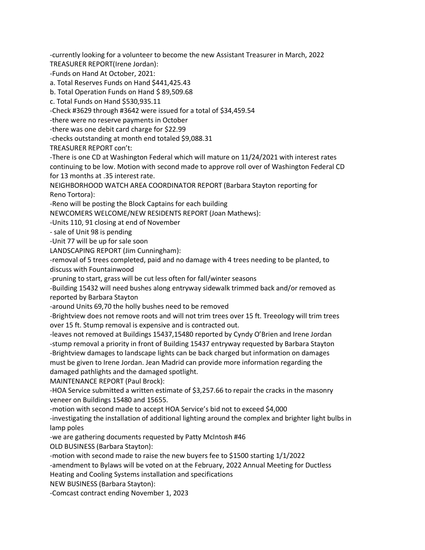-currently looking for a volunteer to become the new Assistant Treasurer in March, 2022 TREASURER REPORT(Irene Jordan):

-Funds on Hand At October, 2021:

a. Total Reserves Funds on Hand \$441,425.43

b. Total Operation Funds on Hand \$ 89,509.68

c. Total Funds on Hand \$530,935.11

-Check #3629 through #3642 were issued for a total of \$34,459.54

-there were no reserve payments in October

-there was one debit card charge for \$22.99

-checks outstanding at month end totaled \$9,088.31

TREASURER REPORT con't:

-There is one CD at Washington Federal which will mature on 11/24/2021 with interest rates continuing to be low. Motion with second made to approve roll over of Washington Federal CD for 13 months at .35 interest rate.

NEIGHBORHOOD WATCH AREA COORDINATOR REPORT (Barbara Stayton reporting for Reno Tortora):

-Reno will be posting the Block Captains for each building

NEWCOMERS WELCOME/NEW RESIDENTS REPORT (Joan Mathews):

-Units 110, 91 closing at end of November

- sale of Unit 98 is pending

-Unit 77 will be up for sale soon

LANDSCAPING REPORT (Jim Cunningham):

-removal of 5 trees completed, paid and no damage with 4 trees needing to be planted, to discuss with Fountainwood

-pruning to start, grass will be cut less often for fall/winter seasons

-Building 15432 will need bushes along entryway sidewalk trimmed back and/or removed as reported by Barbara Stayton

-around Units 69,70 the holly bushes need to be removed

-Brightview does not remove roots and will not trim trees over 15 ft. Treeology will trim trees over 15 ft. Stump removal is expensive and is contracted out.

-leaves not removed at Buildings 15437,15480 reported by Cyndy O'Brien and Irene Jordan -stump removal a priority in front of Building 15437 entryway requested by Barbara Stayton -Brightview damages to landscape lights can be back charged but information on damages must be given to Irene Jordan. Jean Madrid can provide more information regarding the damaged pathlights and the damaged spotlight.

MAINTENANCE REPORT (Paul Brock):

-HOA Service submitted a written estimate of \$3,257.66 to repair the cracks in the masonry veneer on Buildings 15480 and 15655.

-motion with second made to accept HOA Service's bid not to exceed \$4,000

-investigating the installation of additional lighting around the complex and brighter light bulbs in lamp poles

-we are gathering documents requested by Patty McIntosh #46

OLD BUSINESS (Barbara Stayton):

-motion with second made to raise the new buyers fee to \$1500 starting 1/1/2022

-amendment to Bylaws will be voted on at the February, 2022 Annual Meeting for Ductless

Heating and Cooling Systems installation and specifications

NEW BUSINESS (Barbara Stayton):

-Comcast contract ending November 1, 2023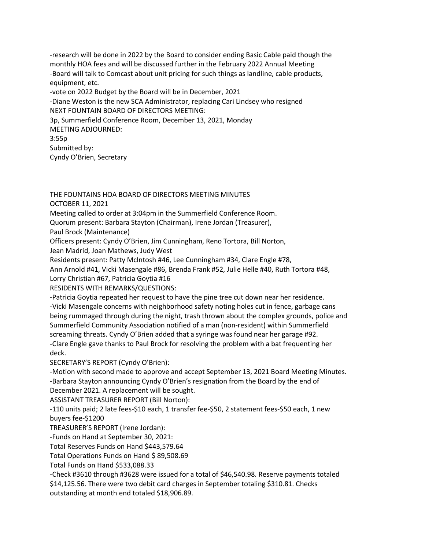-research will be done in 2022 by the Board to consider ending Basic Cable paid though the monthly HOA fees and will be discussed further in the February 2022 Annual Meeting -Board will talk to Comcast about unit pricing for such things as landline, cable products, equipment, etc. -vote on 2022 Budget by the Board will be in December, 2021 -Diane Weston is the new SCA Administrator, replacing Cari Lindsey who resigned NEXT FOUNTAIN BOARD OF DIRECTORS MEETING: 3p, Summerfield Conference Room, December 13, 2021, Monday MEETING ADJOURNED: 3:55p Submitted by:

Cyndy O'Brien, Secretary

THE FOUNTAINS HOA BOARD OF DIRECTORS MEETING MINUTES OCTOBER 11, 2021

Meeting called to order at 3:04pm in the Summerfield Conference Room.

Quorum present: Barbara Stayton (Chairman), Irene Jordan (Treasurer),

Paul Brock (Maintenance)

Officers present: Cyndy O'Brien, Jim Cunningham, Reno Tortora, Bill Norton,

Jean Madrid, Joan Mathews, Judy West

Residents present: Patty McIntosh #46, Lee Cunningham #34, Clare Engle #78,

Ann Arnold #41, Vicki Masengale #86, Brenda Frank #52, Julie Helle #40, Ruth Tortora #48, Lorry Christian #67, Patricia Goytia #16

RESIDENTS WITH REMARKS/QUESTIONS:

-Patricia Goytia repeated her request to have the pine tree cut down near her residence. -Vicki Masengale concerns with neighborhood safety noting holes cut in fence, garbage cans being rummaged through during the night, trash thrown about the complex grounds, police and Summerfield Community Association notified of a man (non-resident) within Summerfield screaming threats. Cyndy O'Brien added that a syringe was found near her garage #92. -Clare Engle gave thanks to Paul Brock for resolving the problem with a bat frequenting her deck.

SECRETARY'S REPORT (Cyndy O'Brien):

-Motion with second made to approve and accept September 13, 2021 Board Meeting Minutes. -Barbara Stayton announcing Cyndy O'Brien's resignation from the Board by the end of December 2021. A replacement will be sought.

ASSISTANT TREASURER REPORT (Bill Norton):

-110 units paid; 2 late fees-\$10 each, 1 transfer fee-\$50, 2 statement fees-\$50 each, 1 new buyers fee-\$1200

TREASURER'S REPORT (Irene Jordan):

-Funds on Hand at September 30, 2021:

Total Reserves Funds on Hand \$443,579.64

Total Operations Funds on Hand \$ 89,508.69

Total Funds on Hand \$533,088.33

-Check #3610 through #3628 were issued for a total of \$46,540.98. Reserve payments totaled \$14,125.56. There were two debit card charges in September totaling \$310.81. Checks

outstanding at month end totaled \$18,906.89.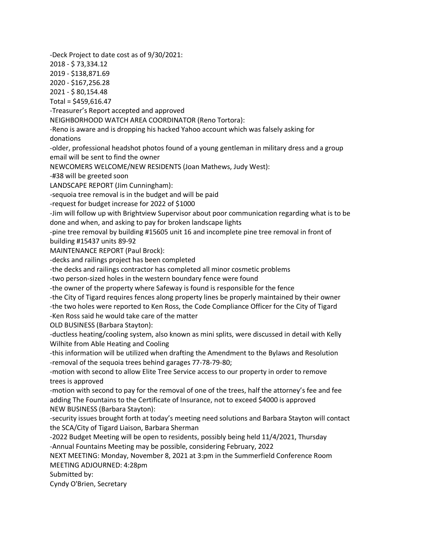-Deck Project to date cost as of 9/30/2021: 2018 - \$ 73,334.12 2019 - \$138,871.69 2020 - \$167,256.28 2021 - \$ 80,154.48 Total = \$459,616.47 -Treasurer's Report accepted and approved NEIGHBORHOOD WATCH AREA COORDINATOR (Reno Tortora): -Reno is aware and is dropping his hacked Yahoo account which was falsely asking for donations -older, professional headshot photos found of a young gentleman in military dress and a group email will be sent to find the owner NEWCOMERS WELCOME/NEW RESIDENTS (Joan Mathews, Judy West): -#38 will be greeted soon LANDSCAPE REPORT (Jim Cunningham): -sequoia tree removal is in the budget and will be paid -request for budget increase for 2022 of \$1000 -Jim will follow up with Brightview Supervisor about poor communication regarding what is to be done and when, and asking to pay for broken landscape lights -pine tree removal by building #15605 unit 16 and incomplete pine tree removal in front of building #15437 units 89-92 MAINTENANCE REPORT (Paul Brock): -decks and railings project has been completed -the decks and railings contractor has completed all minor cosmetic problems -two person-sized holes in the western boundary fence were found -the owner of the property where Safeway is found is responsible for the fence -the City of Tigard requires fences along property lines be properly maintained by their owner -the two holes were reported to Ken Ross, the Code Compliance Officer for the City of Tigard -Ken Ross said he would take care of the matter OLD BUSINESS (Barbara Stayton): -ductless heating/cooling system, also known as mini splits, were discussed in detail with Kelly Wilhite from Able Heating and Cooling -this information will be utilized when drafting the Amendment to the Bylaws and Resolution -removal of the sequoia trees behind garages 77-78-79-80; -motion with second to allow Elite Tree Service access to our property in order to remove trees is approved -motion with second to pay for the removal of one of the trees, half the attorney's fee and fee adding The Fountains to the Certificate of Insurance, not to exceed \$4000 is approved NEW BUSINESS (Barbara Stayton): -security issues brought forth at today's meeting need solutions and Barbara Stayton will contact the SCA/City of Tigard Liaison, Barbara Sherman -2022 Budget Meeting will be open to residents, possibly being held 11/4/2021, Thursday -Annual Fountains Meeting may be possible, considering February, 2022 NEXT MEETING: Monday, November 8, 2021 at 3:pm in the Summerfield Conference Room MEETING ADJOURNED: 4:28pm Submitted by: Cyndy O'Brien, Secretary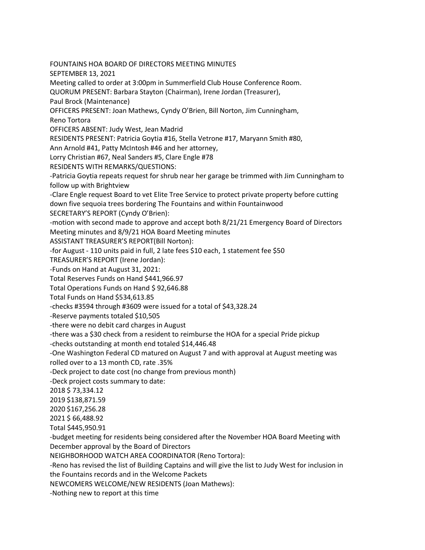FOUNTAINS HOA BOARD OF DIRECTORS MEETING MINUTES SEPTEMBER 13, 2021 Meeting called to order at 3:00pm in Summerfield Club House Conference Room. QUORUM PRESENT: Barbara Stayton (Chairman), Irene Jordan (Treasurer), Paul Brock (Maintenance) OFFICERS PRESENT: Joan Mathews, Cyndy O'Brien, Bill Norton, Jim Cunningham, Reno Tortora OFFICERS ABSENT: Judy West, Jean Madrid RESIDENTS PRESENT: Patricia Goytia #16, Stella Vetrone #17, Maryann Smith #80, Ann Arnold #41, Patty McIntosh #46 and her attorney, Lorry Christian #67, Neal Sanders #5, Clare Engle #78 RESIDENTS WITH REMARKS/QUESTIONS: -Patricia Goytia repeats request for shrub near her garage be trimmed with Jim Cunningham to follow up with Brightview -Clare Engle request Board to vet Elite Tree Service to protect private property before cutting down five sequoia trees bordering The Fountains and within Fountainwood SECRETARY'S REPORT (Cyndy O'Brien): -motion with second made to approve and accept both 8/21/21 Emergency Board of Directors Meeting minutes and 8/9/21 HOA Board Meeting minutes ASSISTANT TREASURER'S REPORT(Bill Norton): -for August - 110 units paid in full, 2 late fees \$10 each, 1 statement fee \$50 TREASURER'S REPORT (Irene Jordan): -Funds on Hand at August 31, 2021: Total Reserves Funds on Hand \$441,966.97 Total Operations Funds on Hand \$92,646.88 Total Funds on Hand \$534,613.85 -checks #3594 through #3609 were issued for a total of \$43,328.24 -Reserve payments totaled \$10,505 -there were no debit card charges in August -there was a \$30 check from a resident to reimburse the HOA for a special Pride pickup -checks outstanding at month end totaled \$14,446.48 -One Washington Federal CD matured on August 7 and with approval at August meeting was rolled over to a 13 month CD, rate .35% -Deck project to date cost (no change from previous month) -Deck project costs summary to date: 2018 \$ 73,334.12 2019 \$138,871.59 2020 \$167,256.28 2021 \$ 66,488.92 Total \$445,950.91 -budget meeting for residents being considered after the November HOA Board Meeting with December approval by the Board of Directors NEIGHBORHOOD WATCH AREA COORDINATOR (Reno Tortora): -Reno has revised the list of Building Captains and will give the list to Judy West for inclusion in

the Fountains records and in the Welcome Packets

NEWCOMERS WELCOME/NEW RESIDENTS (Joan Mathews):

-Nothing new to report at this time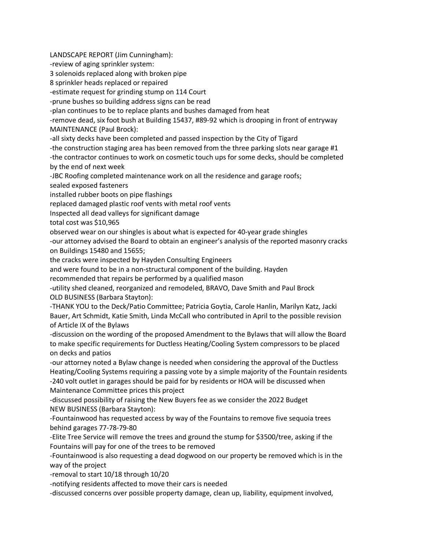LANDSCAPE REPORT (Jim Cunningham):

-review of aging sprinkler system:

3 solenoids replaced along with broken pipe

8 sprinkler heads replaced or repaired

-estimate request for grinding stump on 114 Court

-prune bushes so building address signs can be read

-plan continues to be to replace plants and bushes damaged from heat

-remove dead, six foot bush at Building 15437, #89-92 which is drooping in front of entryway MAINTENANCE (Paul Brock):

-all sixty decks have been completed and passed inspection by the City of Tigard

-the construction staging area has been removed from the three parking slots near garage #1

-the contractor continues to work on cosmetic touch ups for some decks, should be completed by the end of next week

-JBC Roofing completed maintenance work on all the residence and garage roofs;

sealed exposed fasteners

installed rubber boots on pipe flashings

replaced damaged plastic roof vents with metal roof vents

Inspected all dead valleys for significant damage

total cost was \$10,965

observed wear on our shingles is about what is expected for 40-year grade shingles

-our attorney advised the Board to obtain an engineer's analysis of the reported masonry cracks on Buildings 15480 and 15655;

the cracks were inspected by Hayden Consulting Engineers

and were found to be in a non-structural component of the building. Hayden

recommended that repairs be performed by a qualified mason

-utility shed cleaned, reorganized and remodeled, BRAVO, Dave Smith and Paul Brock OLD BUSINESS (Barbara Stayton):

-THANK YOU to the Deck/Patio Committee; Patricia Goytia, Carole Hanlin, Marilyn Katz, Jacki Bauer, Art Schmidt, Katie Smith, Linda McCall who contributed in April to the possible revision of Article IX of the Bylaws

-discussion on the wording of the proposed Amendment to the Bylaws that will allow the Board to make specific requirements for Ductless Heating/Cooling System compressors to be placed on decks and patios

-our attorney noted a Bylaw change is needed when considering the approval of the Ductless Heating/Cooling Systems requiring a passing vote by a simple majority of the Fountain residents -240 volt outlet in garages should be paid for by residents or HOA will be discussed when Maintenance Committee prices this project

-discussed possibility of raising the New Buyers fee as we consider the 2022 Budget NEW BUSINESS (Barbara Stayton):

-Fountainwood has requested access by way of the Fountains to remove five sequoia trees behind garages 77-78-79-80

-Elite Tree Service will remove the trees and ground the stump for \$3500/tree, asking if the Fountains will pay for one of the trees to be removed

-Fountainwood is also requesting a dead dogwood on our property be removed which is in the way of the project

-removal to start 10/18 through 10/20

-notifying residents affected to move their cars is needed

-discussed concerns over possible property damage, clean up, liability, equipment involved,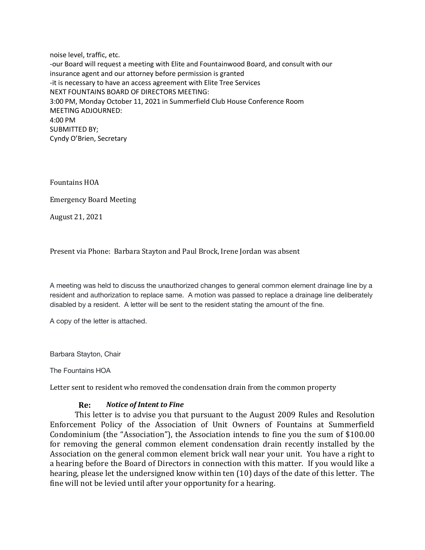noise level, traffic, etc. -our Board will request a meeting with Elite and Fountainwood Board, and consult with our insurance agent and our attorney before permission is granted -it is necessary to have an access agreement with Elite Tree Services NEXT FOUNTAINS BOARD OF DIRECTORS MEETING: 3:00 PM, Monday October 11, 2021 in Summerfield Club House Conference Room MEETING ADJOURNED: 4:00 PM SUBMITTED BY; Cyndy O'Brien, Secretary

Fountains HOA

Emergency Board Meeting

August 21, 2021

Present via Phone: Barbara Stayton and Paul Brock, Irene Jordan was absent

A meeting was held to discuss the unauthorized changes to general common element drainage line by a resident and authorization to replace same. A motion was passed to replace a drainage line deliberately disabled by a resident. A letter will be sent to the resident stating the amount of the fine.

A copy of the letter is attached.

Barbara Stayton, Chair

The Fountains HOA

Letter sent to resident who removed the condensation drain from the common property

## **Re:** *Notice of Intent to Fine*

This letter is to advise you that pursuant to the August 2009 Rules and Resolution Enforcement Policy of the Association of Unit Owners of Fountains at Summerfield Condominium (the "Association"), the Association intends to fine you the sum of \$100.00 for removing the general common element condensation drain recently installed by the Association on the general common element brick wall near your unit. You have a right to a hearing before the Board of Directors in connection with this matter. If you would like a hearing, please let the undersigned know within ten (10) days of the date of this letter. The fine will not be levied until after your opportunity for a hearing.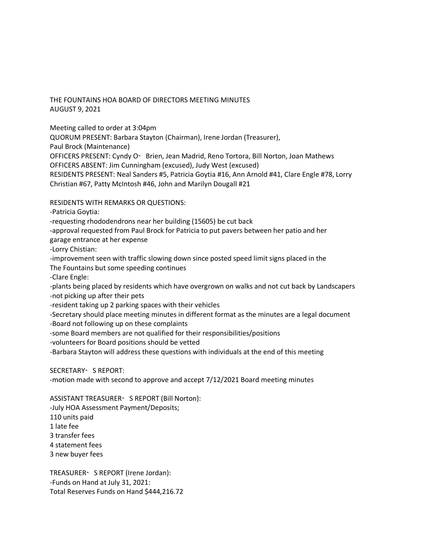# THE FOUNTAINS HOA BOARD OF DIRECTORS MEETING MINUTES AUGUST 9, 2021

Meeting called to order at 3:04pm

QUORUM PRESENT: Barbara Stayton (Chairman), Irene Jordan (Treasurer),

Paul Brock (Maintenance)

OFFICERS PRESENT: Cyndy O - Brien, Jean Madrid, Reno Tortora, Bill Norton, Joan Mathews

OFFICERS ABSENT: Jim Cunningham (excused), Judy West (excused)

RESIDENTS PRESENT: Neal Sanders #5, Patricia Goytia #16, Ann Arnold #41, Clare Engle #78, Lorry Christian #67, Patty McIntosh #46, John and Marilyn Dougall #21

# RESIDENTS WITH REMARKS OR QUESTIONS:

-Patricia Goytia:

-requesting rhododendrons near her building (15605) be cut back

-approval requested from Paul Brock for Patricia to put pavers between her patio and her garage entrance at her expense

-Lorry Chistian:

-improvement seen with traffic slowing down since posted speed limit signs placed in the The Fountains but some speeding continues

-Clare Engle:

-plants being placed by residents which have overgrown on walks and not cut back by Landscapers -not picking up after their pets

-resident taking up 2 parking spaces with their vehicles

-Secretary should place meeting minutes in different format as the minutes are a legal document

-Board not following up on these complaints

-some Board members are not qualified for their responsibilities/positions

-volunteers for Board positions should be vetted

-Barbara Stayton will address these questions with individuals at the end of this meeting

SECRETARY SREPORT:

-motion made with second to approve and accept 7/12/2021 Board meeting minutes

ASSISTANT TREASURER ' S REPORT (Bill Norton):

-July HOA Assessment Payment/Deposits; 110 units paid 1 late fee 3 transfer fees 4 statement fees

3 new buyer fees

TREASURER S REPORT (Irene Jordan): -Funds on Hand at July 31, 2021: Total Reserves Funds on Hand \$444,216.72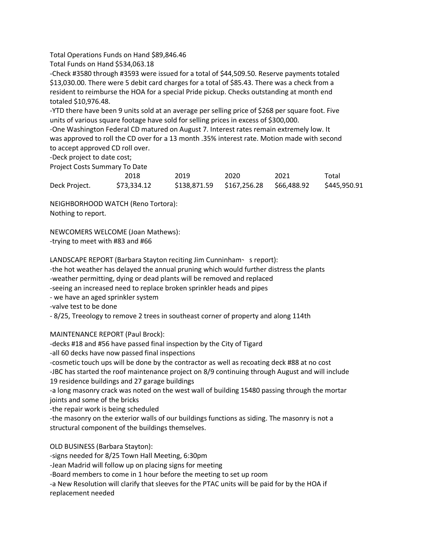Total Operations Funds on Hand \$89,846.46

Total Funds on Hand \$534,063.18

-Check #3580 through #3593 were issued for a total of \$44,509.50. Reserve payments totaled \$13,030.00. There were 5 debit card charges for a total of \$85.43. There was a check from a resident to reimburse the HOA for a special Pride pickup. Checks outstanding at month end totaled \$10,976.48.

-YTD there have been 9 units sold at an average per selling price of \$268 per square foot. Five units of various square footage have sold for selling prices in excess of \$300,000.

-One Washington Federal CD matured on August 7. Interest rates remain extremely low. It was approved to roll the CD over for a 13 month .35% interest rate. Motion made with second to accept approved CD roll over.

-Deck project to date cost;

Project Costs Summary To Date

|               | 2018        | 2019 | 2020 | 2021 | Total        |
|---------------|-------------|------|------|------|--------------|
| Deck Project. | \$73.334.12 |      |      |      | \$445,950.91 |

NEIGHBORHOOD WATCH (Reno Tortora): Nothing to report.

NEWCOMERS WELCOME (Joan Mathews): -trying to meet with #83 and #66

LANDSCAPE REPORT (Barbara Stayton reciting Jim Cunninham- s report): -the hot weather has delayed the annual pruning which would further distress the plants -weather permitting, dying or dead plants will be removed and replaced -seeing an increased need to replace broken sprinkler heads and pipes - we have an aged sprinkler system -valve test to be done

- 8/25, Treeology to remove 2 trees in southeast corner of property and along 114th

MAINTENANCE REPORT (Paul Brock):

-decks #18 and #56 have passed final inspection by the City of Tigard -all 60 decks have now passed final inspections -cosmetic touch ups will be done by the contractor as well as recoating deck #88 at no cost -JBC has started the roof maintenance project on 8/9 continuing through August and will include 19 residence buildings and 27 garage buildings -a long masonry crack was noted on the west wall of building 15480 passing through the mortar joints and some of the bricks

-the repair work is being scheduled

-the masonry on the exterior walls of our buildings functions as siding. The masonry is not a structural component of the buildings themselves.

OLD BUSINESS (Barbara Stayton):

-signs needed for 8/25 Town Hall Meeting, 6:30pm

-Jean Madrid will follow up on placing signs for meeting

-Board members to come in 1 hour before the meeting to set up room

-a New Resolution will clarify that sleeves for the PTAC units will be paid for by the HOA if

replacement needed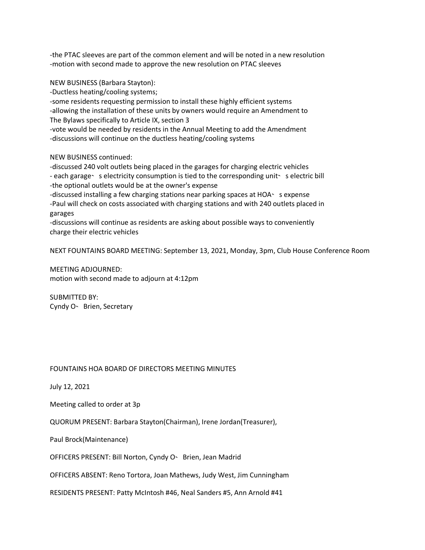-the PTAC sleeves are part of the common element and will be noted in a new resolution -motion with second made to approve the new resolution on PTAC sleeves

NEW BUSINESS (Barbara Stayton):

-Ductless heating/cooling systems;

-some residents requesting permission to install these highly efficient systems -allowing the installation of these units by owners would require an Amendment to The Bylaws specifically to Article IX, section 3

-vote would be needed by residents in the Annual Meeting to add the Amendment -discussions will continue on the ductless heating/cooling systems

NEW BUSINESS continued:

-discussed 240 volt outlets being placed in the garages for charging electric vehicles

- each garage · s electricity consumption is tied to the corresponding unit · s electric bill -the optional outlets would be at the owner's expense

-discussed installing a few charging stations near parking spaces at HOA- s expense -Paul will check on costs associated with charging stations and with 240 outlets placed in garages

-discussions will continue as residents are asking about possible ways to conveniently charge their electric vehicles

NEXT FOUNTAINS BOARD MEETING: September 13, 2021, Monday, 3pm, Club House Conference Room

MEETING ADJOURNED: motion with second made to adjourn at 4:12pm

SUBMITTED BY: Cyndy O Y Brien, Secretary

### FOUNTAINS HOA BOARD OF DIRECTORS MEETING MINUTES

July 12, 2021

Meeting called to order at 3p

QUORUM PRESENT: Barbara Stayton(Chairman), Irene Jordan(Treasurer),

Paul Brock(Maintenance)

OFFICERS PRESENT: Bill Norton, Cyndy O - Brien, Jean Madrid

OFFICERS ABSENT: Reno Tortora, Joan Mathews, Judy West, Jim Cunningham

RESIDENTS PRESENT: Patty McIntosh #46, Neal Sanders #5, Ann Arnold #41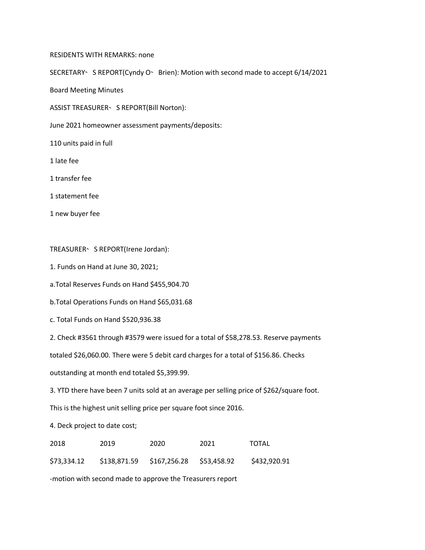#### RESIDENTS WITH REMARKS: none

SECRETARY S REPORT(Cyndy O Brien): Motion with second made to accept 6/14/2021

Board Meeting Minutes

ASSIST TREASURER ' S REPORT(Bill Norton):

June 2021 homeowner assessment payments/deposits:

110 units paid in full

1 late fee

1 transfer fee

1 statement fee

1 new buyer fee

TREASURER SREPORT(Irene Jordan):

1. Funds on Hand at June 30, 2021;

a.Total Reserves Funds on Hand \$455,904.70

b.Total Operations Funds on Hand \$65,031.68

c. Total Funds on Hand \$520,936.38

2. Check #3561 through #3579 were issued for a total of \$58,278.53. Reserve payments

totaled \$26,060.00. There were 5 debit card charges for a total of \$156.86. Checks

outstanding at month end totaled \$5,399.99.

3. YTD there have been 7 units sold at an average per selling price of \$262/square foot.

This is the highest unit selling price per square foot since 2016.

4. Deck project to date cost;

| 2018        | 2019 | 2020                                  | 2021 | TOTAL        |
|-------------|------|---------------------------------------|------|--------------|
| \$73,334.12 |      | \$138,871.59 \$167,256.28 \$53,458.92 |      | \$432,920.91 |

-motion with second made to approve the Treasurers report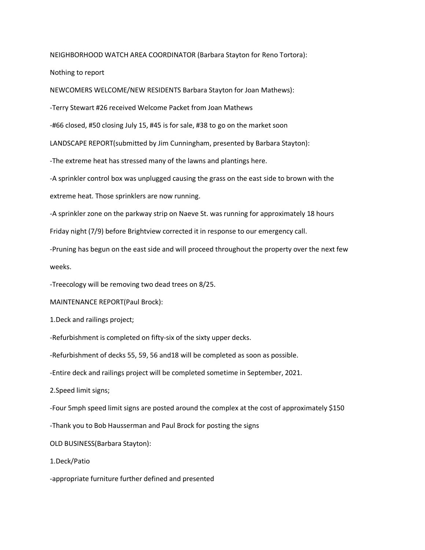NEIGHBORHOOD WATCH AREA COORDINATOR (Barbara Stayton for Reno Tortora):

Nothing to report

NEWCOMERS WELCOME/NEW RESIDENTS Barbara Stayton for Joan Mathews):

-Terry Stewart #26 received Welcome Packet from Joan Mathews

-#66 closed, #50 closing July 15, #45 is for sale, #38 to go on the market soon

LANDSCAPE REPORT(submitted by Jim Cunningham, presented by Barbara Stayton):

-The extreme heat has stressed many of the lawns and plantings here.

-A sprinkler control box was unplugged causing the grass on the east side to brown with the

extreme heat. Those sprinklers are now running.

-A sprinkler zone on the parkway strip on Naeve St. was running for approximately 18 hours

Friday night (7/9) before Brightview corrected it in response to our emergency call.

-Pruning has begun on the east side and will proceed throughout the property over the next few weeks.

-Treecology will be removing two dead trees on 8/25.

MAINTENANCE REPORT(Paul Brock):

1.Deck and railings project;

-Refurbishment is completed on fifty-six of the sixty upper decks.

-Refurbishment of decks 55, 59, 56 and18 will be completed as soon as possible.

-Entire deck and railings project will be completed sometime in September, 2021.

2.Speed limit signs;

-Four 5mph speed limit signs are posted around the complex at the cost of approximately \$150

-Thank you to Bob Hausserman and Paul Brock for posting the signs

OLD BUSINESS(Barbara Stayton):

1.Deck/Patio

-appropriate furniture further defined and presented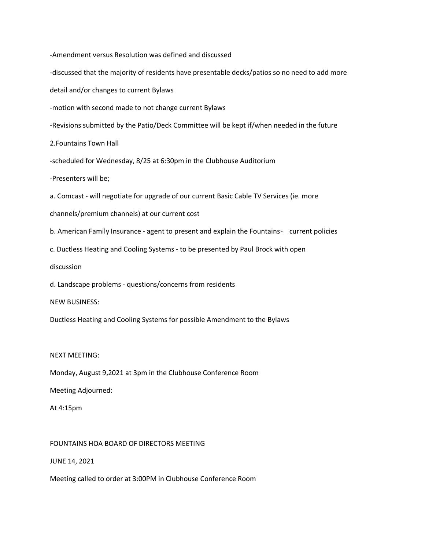-Amendment versus Resolution was defined and discussed

-discussed that the majority of residents have presentable decks/patios so no need to add more

detail and/or changes to current Bylaws

-motion with second made to not change current Bylaws

-Revisions submitted by the Patio/Deck Committee will be kept if/when needed in the future

2.Fountains Town Hall

-scheduled for Wednesday, 8/25 at 6:30pm in the Clubhouse Auditorium

-Presenters will be;

a. Comcast - will negotiate for upgrade of our current Basic Cable TV Services (ie. more

channels/premium channels) at our current cost

b. American Family Insurance - agent to present and explain the Fountains - current policies

c. Ductless Heating and Cooling Systems - to be presented by Paul Brock with open

discussion

d. Landscape problems - questions/concerns from residents

NEW BUSINESS:

Ductless Heating and Cooling Systems for possible Amendment to the Bylaws

### NEXT MEETING:

Monday, August 9,2021 at 3pm in the Clubhouse Conference Room

Meeting Adjourned:

At 4:15pm

FOUNTAINS HOA BOARD OF DIRECTORS MEETING

JUNE 14, 2021

Meeting called to order at 3:00PM in Clubhouse Conference Room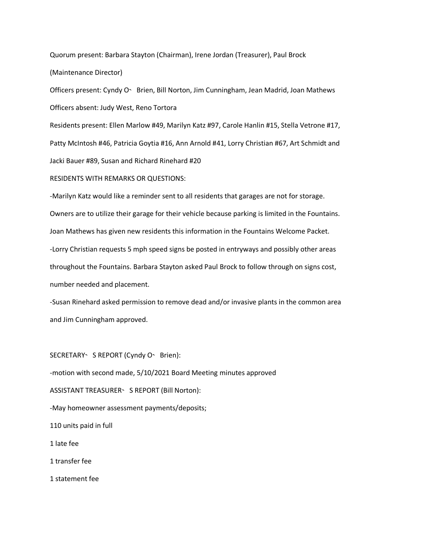Quorum present: Barbara Stayton (Chairman), Irene Jordan (Treasurer), Paul Brock

(Maintenance Director)

Officers present: Cyndy O · Brien, Bill Norton, Jim Cunningham, Jean Madrid, Joan Mathews Officers absent: Judy West, Reno Tortora

Residents present: Ellen Marlow #49, Marilyn Katz #97, Carole Hanlin #15, Stella Vetrone #17, Patty McIntosh #46, Patricia Goytia #16, Ann Arnold #41, Lorry Christian #67, Art Schmidt and Jacki Bauer #89, Susan and Richard Rinehard #20

RESIDENTS WITH REMARKS OR QUESTIONS:

-Marilyn Katz would like a reminder sent to all residents that garages are not for storage. Owners are to utilize their garage for their vehicle because parking is limited in the Fountains. Joan Mathews has given new residents this information in the Fountains Welcome Packet. -Lorry Christian requests 5 mph speed signs be posted in entryways and possibly other areas throughout the Fountains. Barbara Stayton asked Paul Brock to follow through on signs cost, number needed and placement.

-Susan Rinehard asked permission to remove dead and/or invasive plants in the common area and Jim Cunningham approved.

SECRETARY S REPORT (Cyndy O - Brien):

-motion with second made, 5/10/2021 Board Meeting minutes approved

ASSISTANT TREASURER S REPORT (Bill Norton):

-May homeowner assessment payments/deposits;

110 units paid in full

1 late fee

1 transfer fee

1 statement fee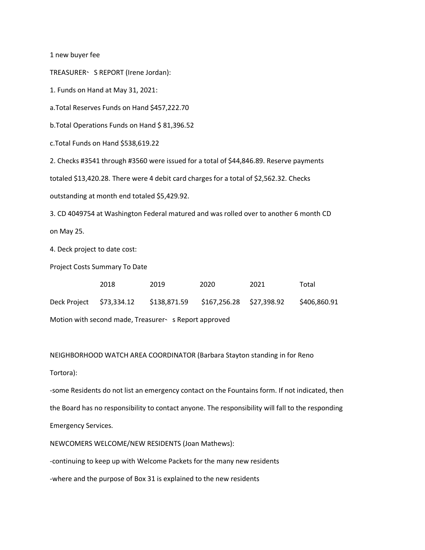1 new buyer fee

TREASURER S REPORT (Irene Jordan):

1. Funds on Hand at May 31, 2021:

a.Total Reserves Funds on Hand \$457,222.70

b.Total Operations Funds on Hand \$ 81,396.52

c.Total Funds on Hand \$538,619.22

2. Checks #3541 through #3560 were issued for a total of \$44,846.89. Reserve payments

totaled \$13,420.28. There were 4 debit card charges for a total of \$2,562.32. Checks

outstanding at month end totaled \$5,429.92.

3. CD 4049754 at Washington Federal matured and was rolled over to another 6 month CD on May 25.

4. Deck project to date cost:

Project Costs Summary To Date

|                                                      | 2018 | 2019                                                           | 2020 | 2021 | Total        |  |
|------------------------------------------------------|------|----------------------------------------------------------------|------|------|--------------|--|
|                                                      |      | Deck Project \$73,334.12 \$138,871.59 \$167,256.28 \$27,398.92 |      |      | \$406.860.91 |  |
| Motion with second made, Treasurer S Report approved |      |                                                                |      |      |              |  |

NEIGHBORHOOD WATCH AREA COORDINATOR (Barbara Stayton standing in for Reno Tortora):

-some Residents do not list an emergency contact on the Fountains form. If not indicated, then the Board has no responsibility to contact anyone. The responsibility will fall to the responding Emergency Services.

NEWCOMERS WELCOME/NEW RESIDENTS (Joan Mathews):

-continuing to keep up with Welcome Packets for the many new residents

-where and the purpose of Box 31 is explained to the new residents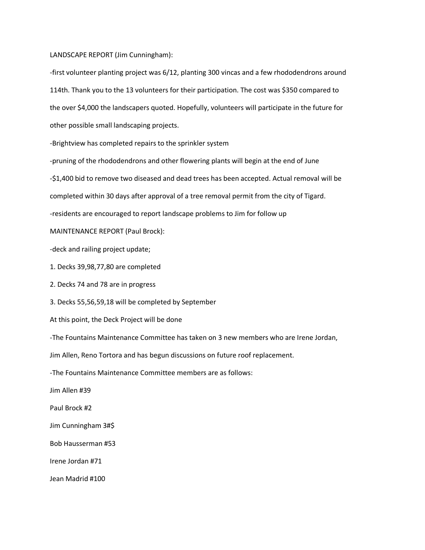#### LANDSCAPE REPORT (Jim Cunningham):

-first volunteer planting project was 6/12, planting 300 vincas and a few rhododendrons around 114th. Thank you to the 13 volunteers for their participation. The cost was \$350 compared to the over \$4,000 the landscapers quoted. Hopefully, volunteers will participate in the future for other possible small landscaping projects.

-Brightview has completed repairs to the sprinkler system

-pruning of the rhododendrons and other flowering plants will begin at the end of June

-\$1,400 bid to remove two diseased and dead trees has been accepted. Actual removal will be

completed within 30 days after approval of a tree removal permit from the city of Tigard.

-residents are encouraged to report landscape problems to Jim for follow up

MAINTENANCE REPORT (Paul Brock):

-deck and railing project update;

1. Decks 39,98,77,80 are completed

2. Decks 74 and 78 are in progress

3. Decks 55,56,59,18 will be completed by September

At this point, the Deck Project will be done

-The Fountains Maintenance Committee has taken on 3 new members who are Irene Jordan,

Jim Allen, Reno Tortora and has begun discussions on future roof replacement.

-The Fountains Maintenance Committee members are as follows:

Jim Allen #39

Paul Brock #2

Jim Cunningham 3#\$

Bob Hausserman #53

Irene Jordan #71

Jean Madrid #100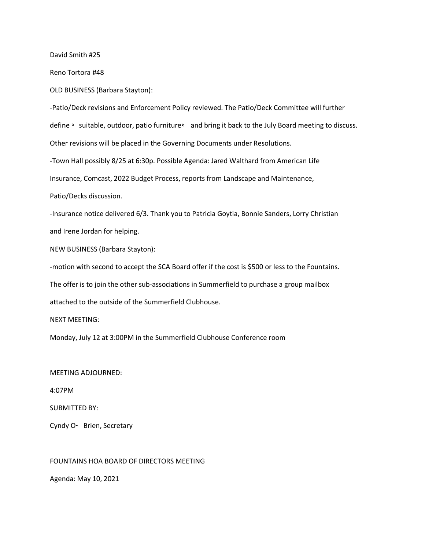David Smith #25

Reno Tortora #48

OLD BUSINESS (Barbara Stayton):

-Patio/Deck revisions and Enforcement Policy reviewed. The Patio/Deck Committee will further define < suitable, outdoor, patio furniture and bring it back to the July Board meeting to discuss. Other revisions will be placed in the Governing Documents under Resolutions. -Town Hall possibly 8/25 at 6:30p. Possible Agenda: Jared Walthard from American Life Insurance, Comcast, 2022 Budget Process, reports from Landscape and Maintenance, Patio/Decks discussion.

-Insurance notice delivered 6/3. Thank you to Patricia Goytia, Bonnie Sanders, Lorry Christian and Irene Jordan for helping.

NEW BUSINESS (Barbara Stayton):

-motion with second to accept the SCA Board offer if the cost is \$500 or less to the Fountains.

The offer is to join the other sub-associations in Summerfield to purchase a group mailbox

attached to the outside of the Summerfield Clubhouse.

NEXT MEETING:

Monday, July 12 at 3:00PM in the Summerfield Clubhouse Conference room

MEETING ADJOURNED:

4:07PM

SUBMITTED BY:

Cyndy O - Brien, Secretary

FOUNTAINS HOA BOARD OF DIRECTORS MEETING

Agenda: May 10, 2021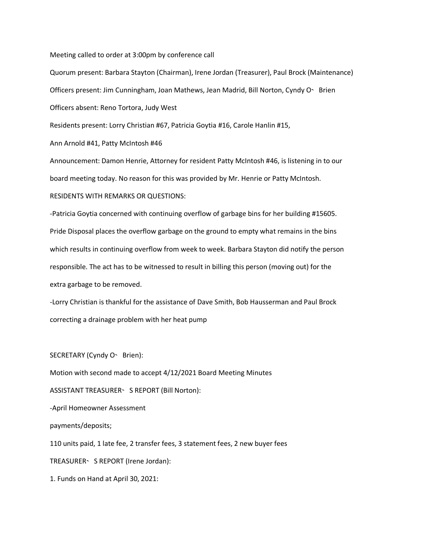Meeting called to order at 3:00pm by conference call

Quorum present: Barbara Stayton (Chairman), Irene Jordan (Treasurer), Paul Brock (Maintenance) Officers present: Jim Cunningham, Joan Mathews, Jean Madrid, Bill Norton, Cyndy O - Brien Officers absent: Reno Tortora, Judy West Residents present: Lorry Christian #67, Patricia Goytia #16, Carole Hanlin #15,

Ann Arnold #41, Patty McIntosh #46

Announcement: Damon Henrie, Attorney for resident Patty McIntosh #46, is listening in to our board meeting today. No reason for this was provided by Mr. Henrie or Patty McIntosh. RESIDENTS WITH REMARKS OR QUESTIONS:

-Patricia Goytia concerned with continuing overflow of garbage bins for her building #15605. Pride Disposal places the overflow garbage on the ground to empty what remains in the bins which results in continuing overflow from week to week. Barbara Stayton did notify the person responsible. The act has to be witnessed to result in billing this person (moving out) for the extra garbage to be removed.

-Lorry Christian is thankful for the assistance of Dave Smith, Bob Hausserman and Paul Brock correcting a drainage problem with her heat pump

SECRETARY (Cyndy O - Brien):

Motion with second made to accept 4/12/2021 Board Meeting Minutes ASSISTANT TREASURER ' S REPORT (Bill Norton): -April Homeowner Assessment payments/deposits; 110 units paid, 1 late fee, 2 transfer fees, 3 statement fees, 2 new buyer fees TREASURER S REPORT (Irene Jordan): 1. Funds on Hand at April 30, 2021: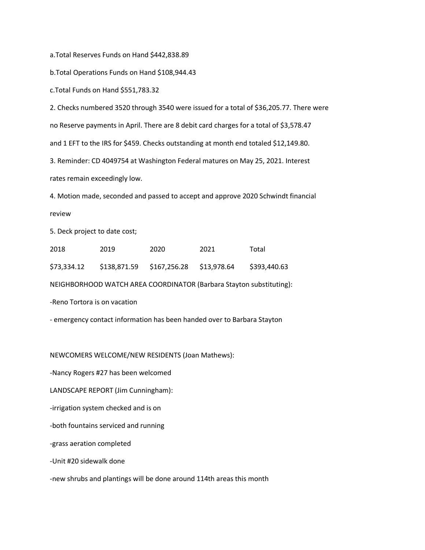a.Total Reserves Funds on Hand \$442,838.89

b.Total Operations Funds on Hand \$108,944.43

c.Total Funds on Hand \$551,783.32

2. Checks numbered 3520 through 3540 were issued for a total of \$36,205.77. There were no Reserve payments in April. There are 8 debit card charges for a total of \$3,578.47 and 1 EFT to the IRS for \$459. Checks outstanding at month end totaled \$12,149.80. 3. Reminder: CD 4049754 at Washington Federal matures on May 25, 2021. Interest rates remain exceedingly low.

4. Motion made, seconded and passed to accept and approve 2020 Schwindt financial review

5. Deck project to date cost;

| 2018        | 2019 | 2020                                  | 2021 | Total        |
|-------------|------|---------------------------------------|------|--------------|
| \$73,334.12 |      | \$138,871.59 \$167,256.28 \$13,978.64 |      | \$393,440.63 |

NEIGHBORHOOD WATCH AREA COORDINATOR (Barbara Stayton substituting):

-Reno Tortora is on vacation

- emergency contact information has been handed over to Barbara Stayton

NEWCOMERS WELCOME/NEW RESIDENTS (Joan Mathews):

-Nancy Rogers #27 has been welcomed

LANDSCAPE REPORT (Jim Cunningham):

-irrigation system checked and is on

-both fountains serviced and running

-grass aeration completed

-Unit #20 sidewalk done

-new shrubs and plantings will be done around 114th areas this month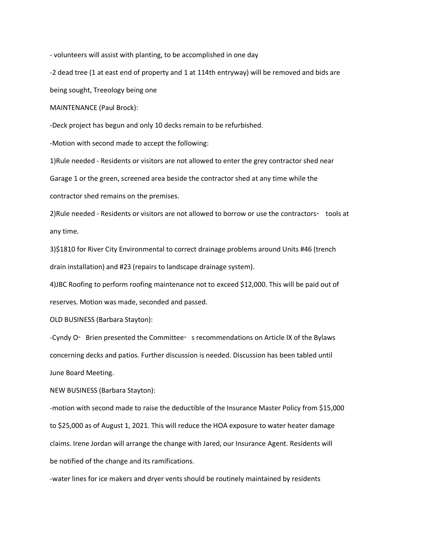- volunteers will assist with planting, to be accomplished in one day

-2 dead tree (1 at east end of property and 1 at 114th entryway) will be removed and bids are being sought, Treeology being one

MAINTENANCE (Paul Brock):

-Deck project has begun and only 10 decks remain to be refurbished.

-Motion with second made to accept the following:

1)Rule needed - Residents or visitors are not allowed to enter the grey contractor shed near

Garage 1 or the green, screened area beside the contractor shed at any time while the

contractor shed remains on the premises.

2) Rule needed - Residents or visitors are not allowed to borrow or use the contractors- tools at any time.

3)\$1810 for River City Environmental to correct drainage problems around Units #46 (trench drain installation) and #23 (repairs to landscape drainage system).

4)JBC Roofing to perform roofing maintenance not to exceed \$12,000. This will be paid out of reserves. Motion was made, seconded and passed.

OLD BUSINESS (Barbara Stayton):

-Cyndy O - Brien presented the Committee - s recommendations on Article IX of the Bylaws concerning decks and patios. Further discussion is needed. Discussion has been tabled until June Board Meeting.

NEW BUSINESS (Barbara Stayton):

-motion with second made to raise the deductible of the Insurance Master Policy from \$15,000 to \$25,000 as of August 1, 2021. This will reduce the HOA exposure to water heater damage claims. Irene Jordan will arrange the change with Jared, our Insurance Agent. Residents will be notified of the change and its ramifications.

-water lines for ice makers and dryer vents should be routinely maintained by residents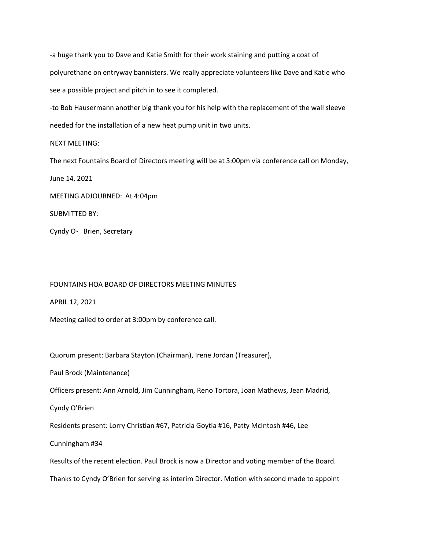-a huge thank you to Dave and Katie Smith for their work staining and putting a coat of polyurethane on entryway bannisters. We really appreciate volunteers like Dave and Katie who see a possible project and pitch in to see it completed.

-to Bob Hausermann another big thank you for his help with the replacement of the wall sleeve needed for the installation of a new heat pump unit in two units.

### NEXT MEETING:

The next Fountains Board of Directors meeting will be at 3:00pm via conference call on Monday,

June 14, 2021

MEETING ADJOURNED: At 4:04pm

SUBMITTED BY:

Cyndy O - Brien, Secretary

## FOUNTAINS HOA BOARD OF DIRECTORS MEETING MINUTES

APRIL 12, 2021

Meeting called to order at 3:00pm by conference call.

Quorum present: Barbara Stayton (Chairman), Irene Jordan (Treasurer),

Paul Brock (Maintenance)

Officers present: Ann Arnold, Jim Cunningham, Reno Tortora, Joan Mathews, Jean Madrid,

Cyndy O'Brien

Residents present: Lorry Christian #67, Patricia Goytia #16, Patty McIntosh #46, Lee

Cunningham #34

Results of the recent election. Paul Brock is now a Director and voting member of the Board.

Thanks to Cyndy O'Brien for serving as interim Director. Motion with second made to appoint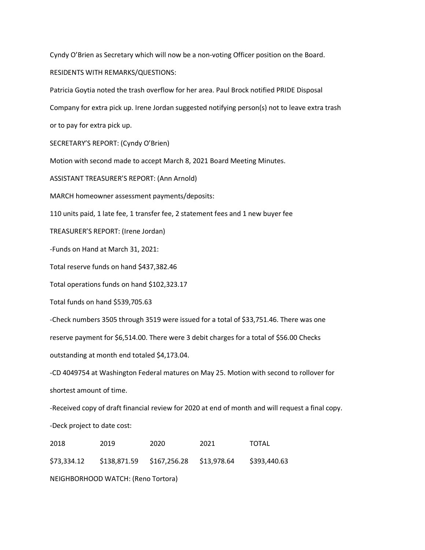Cyndy O'Brien as Secretary which will now be a non-voting Officer position on the Board.

RESIDENTS WITH REMARKS/QUESTIONS:

Patricia Goytia noted the trash overflow for her area. Paul Brock notified PRIDE Disposal Company for extra pick up. Irene Jordan suggested notifying person(s) not to leave extra trash or to pay for extra pick up. SECRETARY'S REPORT: (Cyndy O'Brien) Motion with second made to accept March 8, 2021 Board Meeting Minutes. ASSISTANT TREASURER'S REPORT: (Ann Arnold) MARCH homeowner assessment payments/deposits: 110 units paid, 1 late fee, 1 transfer fee, 2 statement fees and 1 new buyer fee TREASURER'S REPORT: (Irene Jordan) -Funds on Hand at March 31, 2021: Total reserve funds on hand \$437,382.46 Total operations funds on hand \$102,323.17 Total funds on hand \$539,705.63 -Check numbers 3505 through 3519 were issued for a total of \$33,751.46. There was one reserve payment for \$6,514.00. There were 3 debit charges for a total of \$56.00 Checks outstanding at month end totaled \$4,173.04. -CD 4049754 at Washington Federal matures on May 25. Motion with second to rollover for shortest amount of time.

-Received copy of draft financial review for 2020 at end of month and will request a final copy. -Deck project to date cost:

| 2018         | 2019                                              | 2020 | 2021 | TOTAL        |  |
|--------------|---------------------------------------------------|------|------|--------------|--|
|              | \$73,334.12 \$138,871.59 \$167,256.28 \$13,978.64 |      |      | \$393,440.63 |  |
| $\mathbf{A}$ |                                                   |      |      |              |  |

NEIGHBORHOOD WATCH: (Reno Tortora)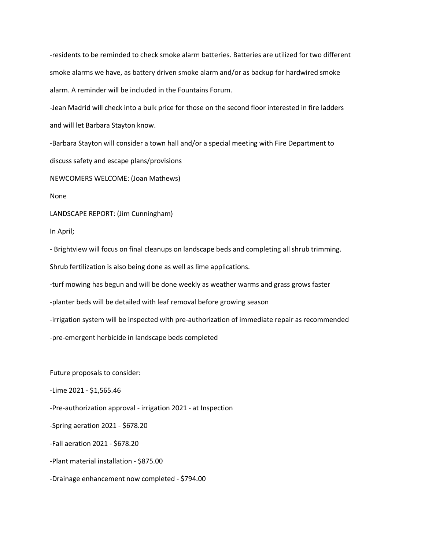-residents to be reminded to check smoke alarm batteries. Batteries are utilized for two different smoke alarms we have, as battery driven smoke alarm and/or as backup for hardwired smoke alarm. A reminder will be included in the Fountains Forum.

-Jean Madrid will check into a bulk price for those on the second floor interested in fire ladders and will let Barbara Stayton know.

-Barbara Stayton will consider a town hall and/or a special meeting with Fire Department to discuss safety and escape plans/provisions

NEWCOMERS WELCOME: (Joan Mathews)

None

LANDSCAPE REPORT: (Jim Cunningham)

In April;

- Brightview will focus on final cleanups on landscape beds and completing all shrub trimming.

Shrub fertilization is also being done as well as lime applications.

-turf mowing has begun and will be done weekly as weather warms and grass grows faster

-planter beds will be detailed with leaf removal before growing season

-irrigation system will be inspected with pre-authorization of immediate repair as recommended

-pre-emergent herbicide in landscape beds completed

Future proposals to consider:

-Lime 2021 - \$1,565.46

-Pre-authorization approval - irrigation 2021 - at Inspection

-Spring aeration 2021 - \$678.20

-Fall aeration 2021 - \$678.20

-Plant material installation - \$875.00

-Drainage enhancement now completed - \$794.00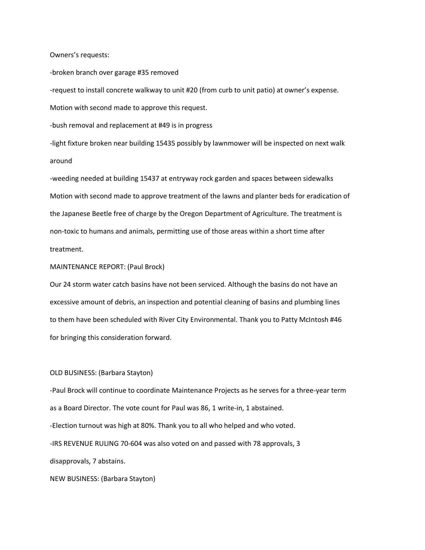Owners's requests:

-broken branch over garage #35 removed -request to install concrete walkway to unit #20 (from curb to unit patio) at owner's expense. Motion with second made to approve this request.

-bush removal and replacement at #49 is in progress

-light fixture broken near building 15435 possibly by lawnmower will be inspected on next walk around

-weeding needed at building 15437 at entryway rock garden and spaces between sidewalks Motion with second made to approve treatment of the lawns and planter beds for eradication of the Japanese Beetle free of charge by the Oregon Department of Agriculture. The treatment is non-toxic to humans and animals, permitting use of those areas within a short time after treatment.

### MAINTENANCE REPORT: (Paul Brock)

Our 24 storm water catch basins have not been serviced. Although the basins do not have an excessive amount of debris, an inspection and potential cleaning of basins and plumbing lines to them have been scheduled with River City Environmental. Thank you to Patty McIntosh #46 for bringing this consideration forward.

#### OLD BUSINESS: (Barbara Stayton)

-Paul Brock will continue to coordinate Maintenance Projects as he serves for a three-year term as a Board Director. The vote count for Paul was 86, 1 write-in, 1 abstained. -Election turnout was high at 80%. Thank you to all who helped and who voted. -IRS REVENUE RULING 70-604 was also voted on and passed with 78 approvals, 3 disapprovals, 7 abstains.

NEW BUSINESS: (Barbara Stayton)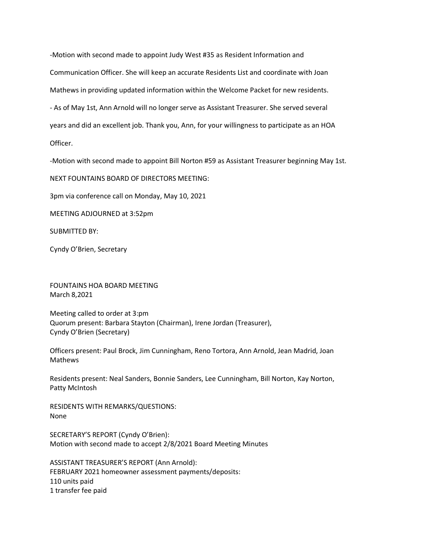-Motion with second made to appoint Judy West #35 as Resident Information and Communication Officer. She will keep an accurate Residents List and coordinate with Joan Mathews in providing updated information within the Welcome Packet for new residents. - As of May 1st, Ann Arnold will no longer serve as Assistant Treasurer. She served several years and did an excellent job. Thank you, Ann, for your willingness to participate as an HOA

Officer.

-Motion with second made to appoint Bill Norton #59 as Assistant Treasurer beginning May 1st.

NEXT FOUNTAINS BOARD OF DIRECTORS MEETING:

3pm via conference call on Monday, May 10, 2021

MEETING ADJOURNED at 3:52pm

SUBMITTED BY:

Cyndy O'Brien, Secretary

FOUNTAINS HOA BOARD MEETING March 8,2021

Meeting called to order at 3:pm Quorum present: Barbara Stayton (Chairman), Irene Jordan (Treasurer), Cyndy O'Brien (Secretary)

Officers present: Paul Brock, Jim Cunningham, Reno Tortora, Ann Arnold, Jean Madrid, Joan Mathews

Residents present: Neal Sanders, Bonnie Sanders, Lee Cunningham, Bill Norton, Kay Norton, Patty McIntosh

RESIDENTS WITH REMARKS/QUESTIONS: None

SECRETARY'S REPORT (Cyndy O'Brien): Motion with second made to accept 2/8/2021 Board Meeting Minutes

ASSISTANT TREASURER'S REPORT (Ann Arnold): FEBRUARY 2021 homeowner assessment payments/deposits: 110 units paid 1 transfer fee paid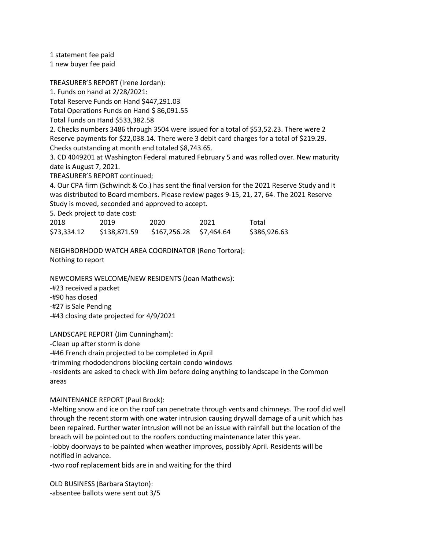1 statement fee paid 1 new buyer fee paid

TREASURER'S REPORT (Irene Jordan):

1. Funds on hand at 2/28/2021:

Total Reserve Funds on Hand \$447,291.03

Total Operations Funds on Hand \$86,091.55

Total Funds on Hand \$533,382.58

2. Checks numbers 3486 through 3504 were issued for a total of \$53,52.23. There were 2 Reserve payments for \$22,038.14. There were 3 debit card charges for a total of \$219.29. Checks outstanding at month end totaled \$8,743.65.

3. CD 4049201 at Washington Federal matured February 5 and was rolled over. New maturity date is August 7, 2021.

TREASURER'S REPORT continued;

4. Our CPA firm (Schwindt & Co.) has sent the final version for the 2021 Reserve Study and it was distributed to Board members. Please review pages 9-15, 21, 27, 64. The 2021 Reserve Study is moved, seconded and approved to accept.

5. Deck project to date cost:

| 2018        | 2019         | 2020                    | 2021 | Total        |
|-------------|--------------|-------------------------|------|--------------|
| \$73,334.12 | \$138,871.59 | \$167,256.28 \$7,464.64 |      | \$386,926.63 |

NEIGHBORHOOD WATCH AREA COORDINATOR (Reno Tortora): Nothing to report

NEWCOMERS WELCOME/NEW RESIDENTS (Joan Mathews): -#23 received a packet -#90 has closed

-#27 is Sale Pending -#43 closing date projected for 4/9/2021

LANDSCAPE REPORT (Jim Cunningham):

-Clean up after storm is done

-#46 French drain projected to be completed in April

-trimming rhododendrons blocking certain condo windows

-residents are asked to check with Jim before doing anything to landscape in the Common areas

## MAINTENANCE REPORT (Paul Brock):

-Melting snow and ice on the roof can penetrate through vents and chimneys. The roof did well through the recent storm with one water intrusion causing drywall damage of a unit which has been repaired. Further water intrusion will not be an issue with rainfall but the location of the breach will be pointed out to the roofers conducting maintenance later this year. -lobby doorways to be painted when weather improves, possibly April. Residents will be notified in advance.

-two roof replacement bids are in and waiting for the third

OLD BUSINESS (Barbara Stayton): -absentee ballots were sent out 3/5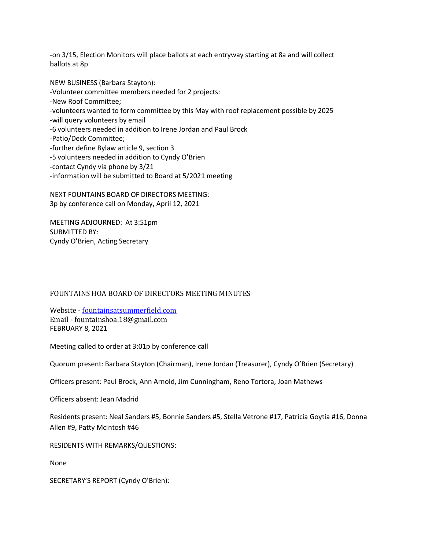-on 3/15, Election Monitors will place ballots at each entryway starting at 8a and will collect ballots at 8p

NEW BUSINESS (Barbara Stayton): -Volunteer committee members needed for 2 projects: -New Roof Committee; -volunteers wanted to form committee by this May with roof replacement possible by 2025 -will query volunteers by email -6 volunteers needed in addition to Irene Jordan and Paul Brock -Patio/Deck Committee; -further define Bylaw article 9, section 3 -5 volunteers needed in addition to Cyndy O'Brien -contact Cyndy via phone by 3/21 -information will be submitted to Board at 5/2021 meeting

NEXT FOUNTAINS BOARD OF DIRECTORS MEETING: 3p by conference call on Monday, April 12, 2021

MEETING ADJOURNED: At 3:51pm SUBMITTED BY: Cyndy O'Brien, Acting Secretary

## FOUNTAINS HOA BOARD OF DIRECTORS MEETING MINUTES

Website - fountainsatsummerfield.com Email - fountainshoa.18@gmail.com FEBRUARY 8, 2021

Meeting called to order at 3:01p by conference call

Quorum present: Barbara Stayton (Chairman), Irene Jordan (Treasurer), Cyndy O'Brien (Secretary)

Officers present: Paul Brock, Ann Arnold, Jim Cunningham, Reno Tortora, Joan Mathews

Officers absent: Jean Madrid

Residents present: Neal Sanders #5, Bonnie Sanders #5, Stella Vetrone #17, Patricia Goytia #16, Donna Allen #9, Patty McIntosh #46

RESIDENTS WITH REMARKS/QUESTIONS:

None

SECRETARY'S REPORT (Cyndy O'Brien):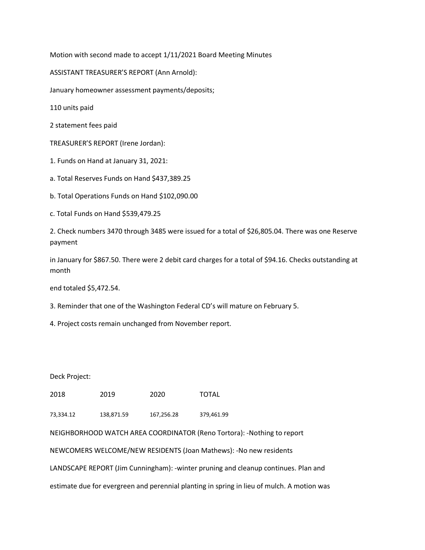Motion with second made to accept 1/11/2021 Board Meeting Minutes

ASSISTANT TREASURER'S REPORT (Ann Arnold):

January homeowner assessment payments/deposits;

110 units paid

2 statement fees paid

TREASURER'S REPORT (Irene Jordan):

1. Funds on Hand at January 31, 2021:

a. Total Reserves Funds on Hand \$437,389.25

b. Total Operations Funds on Hand \$102,090.00

c. Total Funds on Hand \$539,479.25

2. Check numbers 3470 through 3485 were issued for a total of \$26,805.04. There was one Reserve payment

in January for \$867.50. There were 2 debit card charges for a total of \$94.16. Checks outstanding at month

end totaled \$5,472.54.

3. Reminder that one of the Washington Federal CD's will mature on February 5.

4. Project costs remain unchanged from November report.

Deck Project:

2018 2019 2020 TOTAL

73,334.12 138,871.59 167,256.28 379,461.99

NEIGHBORHOOD WATCH AREA COORDINATOR (Reno Tortora): -Nothing to report

NEWCOMERS WELCOME/NEW RESIDENTS (Joan Mathews): -No new residents

LANDSCAPE REPORT (Jim Cunningham): -winter pruning and cleanup continues. Plan and

estimate due for evergreen and perennial planting in spring in lieu of mulch. A motion was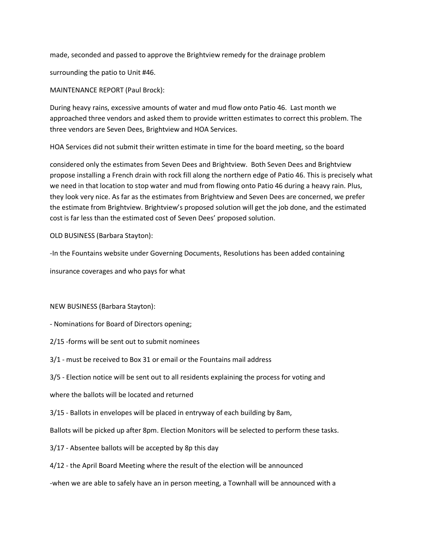made, seconded and passed to approve the Brightview remedy for the drainage problem

surrounding the patio to Unit #46.

MAINTENANCE REPORT (Paul Brock):

During heavy rains, excessive amounts of water and mud flow onto Patio 46. Last month we approached three vendors and asked them to provide written estimates to correct this problem. The three vendors are Seven Dees, Brightview and HOA Services.

HOA Services did not submit their written estimate in time for the board meeting, so the board

considered only the estimates from Seven Dees and Brightview. Both Seven Dees and Brightview propose installing a French drain with rock fill along the northern edge of Patio 46. This is precisely what we need in that location to stop water and mud from flowing onto Patio 46 during a heavy rain. Plus, they look very nice. As far as the estimates from Brightview and Seven Dees are concerned, we prefer the estimate from Brightview. Brightview's proposed solution will get the job done, and the estimated cost is far less than the estimated cost of Seven Dees' proposed solution.

OLD BUSINESS (Barbara Stayton):

-In the Fountains website under Governing Documents, Resolutions has been added containing

insurance coverages and who pays for what

### NEW BUSINESS (Barbara Stayton):

- Nominations for Board of Directors opening;

- 2/15 -forms will be sent out to submit nominees
- 3/1 must be received to Box 31 or email or the Fountains mail address
- 3/5 Election notice will be sent out to all residents explaining the process for voting and

where the ballots will be located and returned

3/15 - Ballots in envelopes will be placed in entryway of each building by 8am,

Ballots will be picked up after 8pm. Election Monitors will be selected to perform these tasks.

- 3/17 Absentee ballots will be accepted by 8p this day
- 4/12 the April Board Meeting where the result of the election will be announced

-when we are able to safely have an in person meeting, a Townhall will be announced with a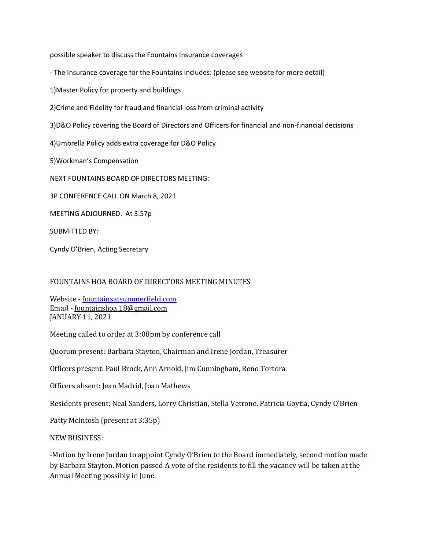possible speaker to discuss the Fountains Insurance coverages

- The Insurance coverage for the Fountains includes: (please see website for more detail)

1)Master Policy for property and buildings

2)Crime and Fidelity for fraud and financial loss from criminal activity

3)D&O Policy covering the Board of Directors and Officers for financial and non-financial decisions

4)Umbrella Policy adds extra coverage for D&O Policy

5)Workman's Compensation

NEXT FOUNTAINS BOARD OF DIRECTORS MEETING:

3P CONFERENCE CALL ON March 8, 2021

MEETING ADJOURNED: At 3:57p

SUBMITTED BY:

Cyndy O'Brien, Acting Secretary

### FOUNTAINS HOA BOARD OF DIRECTORS MEETING MINUTES

Website - fountainsatsummerfield.com Email - fountainshoa.18@gmail.com JANUARY 11, 2021

Meeting called to order at 3:08pm by conference call

Quorum present: Barbara Stayton, Chairman and Irene Jordan, Treasurer

Officers present: Paul Brock, Ann Arnold, Jim Cunningham, Reno Tortora

Officers absent: Jean Madrid, Joan Mathews

Residents present: Neal Sanders, Lorry Christian, Stella Vetrone, Patricia Goytia, Cyndy O'Brien

Patty McIntosh (present at 3:35p)

NEW BUSINESS:

-Motion by Irene Jordan to appoint Cyndy O'Brien to the Board immediately, second motion made by Barbara Stayton. Motion passed A vote of the residents to fill the vacancy will be taken at the Annual Meeting possibly in June.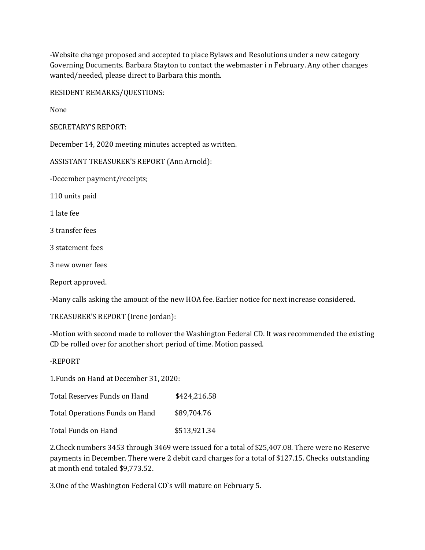-Website change proposed and accepted to place Bylaws and Resolutions under a new category Governing Documents. Barbara Stayton to contact the webmaster i n February. Any other changes wanted/needed, please direct to Barbara this month.

RESIDENT REMARKS/QUESTIONS:

None

SECRETARY'S REPORT:

December 14, 2020 meeting minutes accepted as written.

ASSISTANT TREASURER'S REPORT (Ann Arnold):

-December payment/receipts;

110 units paid

1 late fee

3 transfer fees

3 statement fees

3 new owner fees

Report approved.

-Many calls asking the amount of the new HOA fee. Earlier notice for next increase considered.

TREASURER'S REPORT (Irene Jordan):

-Motion with second made to rollover the Washington Federal CD. It was recommended the existing CD be rolled over for another short period of time. Motion passed.

-REPORT

1. Funds on Hand at December 31, 2020:

| Total Reserves Funds on Hand   | \$424,216.58 |
|--------------------------------|--------------|
| Total Operations Funds on Hand | \$89,704.76  |
| Total Funds on Hand            | \$513,921.34 |

2. Check numbers 3453 through 3469 were issued for a total of \$25,407.08. There were no Reserve payments in December. There were 2 debit card charges for a total of \$127.15. Checks outstanding at month end totaled \$9.773.52.

3. One of the Washington Federal CD's will mature on February 5.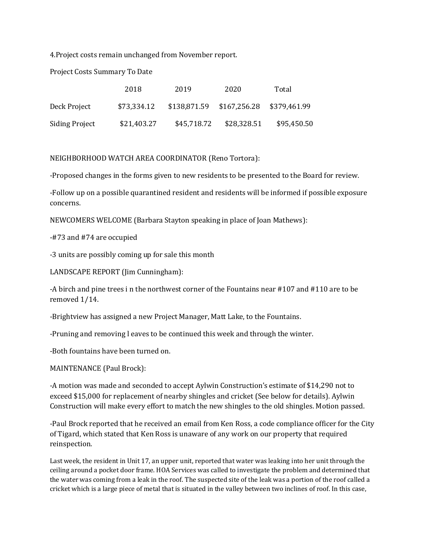4. Project costs remain unchanged from November report.

Project Costs Summary To Date

|                | 2018        | 2019        | 2020                      | Total        |
|----------------|-------------|-------------|---------------------------|--------------|
| Deck Project   | \$73,334.12 |             | \$138,871.59 \$167,256.28 | \$379,461.99 |
| Siding Project | \$21,403.27 | \$45,718.72 | \$28,328.51               | \$95,450.50  |

NEIGHBORHOOD WATCH AREA COORDINATOR (Reno Tortora):

-Proposed changes in the forms given to new residents to be presented to the Board for review.

-Follow up on a possible quarantined resident and residents will be informed if possible exposure concerns.

NEWCOMERS WELCOME (Barbara Stayton speaking in place of Joan Mathews):

-#73 and #74 are occupied

-3 units are possibly coming up for sale this month

LANDSCAPE REPORT (Jim Cunningham):

-A birch and pine trees in the northwest corner of the Fountains near  $\#107$  and  $\#110$  are to be removed  $1/14$ .

-Brightview has assigned a new Project Manager, Matt Lake, to the Fountains.

-Pruning and removing l eaves to be continued this week and through the winter.

-Both fountains have been turned on.

MAINTENANCE (Paul Brock):

-A motion was made and seconded to accept Aylwin Construction's estimate of \$14,290 not to exceed \$15,000 for replacement of nearby shingles and cricket (See below for details). Aylwin Construction will make every effort to match the new shingles to the old shingles. Motion passed.

-Paul Brock reported that he received an email from Ken Ross, a code compliance officer for the City of Tigard, which stated that Ken Ross is unaware of any work on our property that required reinspection.

Last week, the resident in Unit 17, an upper unit, reported that water was leaking into her unit through the ceiling around a pocket door frame. HOA Services was called to investigate the problem and determined that the water was coming from a leak in the roof. The suspected site of the leak was a portion of the roof called a cricket which is a large piece of metal that is situated in the valley between two inclines of roof. In this case,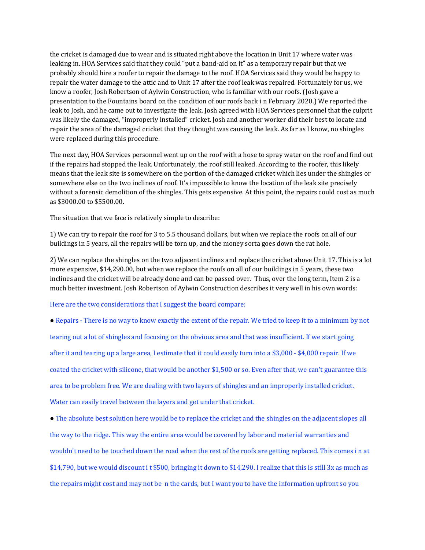the cricket is damaged due to wear and is situated right above the location in Unit 17 where water was leaking in. HOA Services said that they could "put a band-aid on it" as a temporary repair but that we probably should hire a roofer to repair the damage to the roof. HOA Services said they would be happy to repair the water damage to the attic and to Unit 17 after the roof leak was repaired. Fortunately for us, we know a roofer, Josh Robertson of Aylwin Construction, who is familiar with our roofs. (Josh gave a presentation to the Fountains board on the condition of our roofs back in February 2020.) We reported the leak to Josh, and he came out to investigate the leak. Josh agreed with HOA Services personnel that the culprit was likely the damaged, "improperly installed" cricket. Josh and another worker did their best to locate and repair the area of the damaged cricket that they thought was causing the leak. As far as I know, no shingles were replaced during this procedure.

The next day, HOA Services personnel went up on the roof with a hose to spray water on the roof and find out if the repairs had stopped the leak. Unfortunately, the roof still leaked. According to the roofer, this likely means that the leak site is somewhere on the portion of the damaged cricket which lies under the shingles or somewhere else on the two inclines of roof. It's impossible to know the location of the leak site precisely without a forensic demolition of the shingles. This gets expensive. At this point, the repairs could cost as much as \$3000.00 to \$5500.00.

The situation that we face is relatively simple to describe:

1) We can try to repair the roof for 3 to 5.5 thousand dollars, but when we replace the roofs on all of our buildings in 5 years, all the repairs will be torn up, and the money sorta goes down the rat hole.

2) We can replace the shingles on the two adjacent inclines and replace the cricket above Unit 17. This is a lot more expensive, \$14,290.00, but when we replace the roofs on all of our buildings in 5 years, these two inclines and the cricket will be already done and can be passed over. Thus, over the long term, Item 2 is a much better investment. Josh Robertson of Aylwin Construction describes it very well in his own words:

Here are the two considerations that I suggest the board compare:

• Repairs - There is no way to know exactly the extent of the repair. We tried to keep it to a minimum by not tearing out a lot of shingles and focusing on the obvious area and that was insufficient. If we start going after it and tearing up a large area, I estimate that it could easily turn into a \$3,000 - \$4,000 repair. If we coated the cricket with silicone, that would be another \$1,500 or so. Even after that, we can't guarantee this area to be problem free. We are dealing with two layers of shingles and an improperly installed cricket. Water can easily travel between the layers and get under that cricket.

• The absolute best solution here would be to replace the cricket and the shingles on the adjacent slopes all the way to the ridge. This way the entire area would be covered by labor and material warranties and wouldn't need to be touched down the road when the rest of the roofs are getting replaced. This comes in at  $$14,790$ , but we would discount i t  $$500$ , bringing it down to  $$14,290$ . I realize that this is still 3x as much as the repairs might cost and may not be n the cards, but I want you to have the information upfront so you